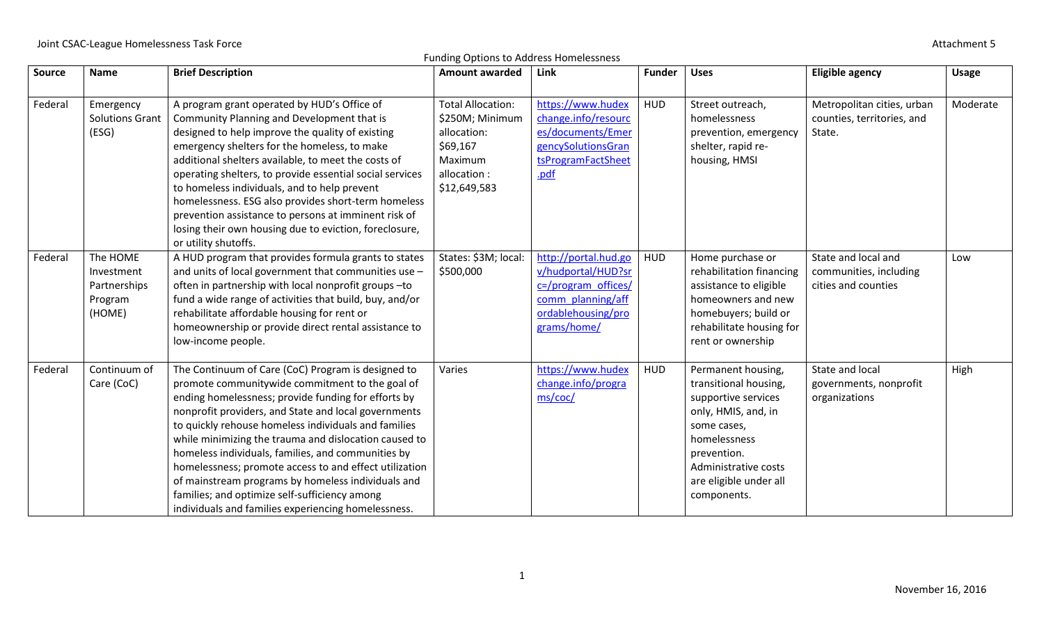| <b>Source</b> | Name                                                        | <b>Brief Description</b>                                                                                                                                                                                                                                                                                                                                                                                                                                                                                                                                                                                            | $\alpha$ . The state of the state of the state of the state of the state of the state of the state of the state of the state of the state of the state of the state of the state of the state of the state of the state of the st<br><b>Amount awarded</b> | Link                                                                                                                        | <b>Funder</b> | <b>Uses</b>                                                                                                                                                                                              | <b>Eligible agency</b>                                               | <b>Usage</b> |
|---------------|-------------------------------------------------------------|---------------------------------------------------------------------------------------------------------------------------------------------------------------------------------------------------------------------------------------------------------------------------------------------------------------------------------------------------------------------------------------------------------------------------------------------------------------------------------------------------------------------------------------------------------------------------------------------------------------------|------------------------------------------------------------------------------------------------------------------------------------------------------------------------------------------------------------------------------------------------------------|-----------------------------------------------------------------------------------------------------------------------------|---------------|----------------------------------------------------------------------------------------------------------------------------------------------------------------------------------------------------------|----------------------------------------------------------------------|--------------|
| Federal       | Emergency<br><b>Solutions Grant</b><br>(ESG)                | A program grant operated by HUD's Office of<br>Community Planning and Development that is<br>designed to help improve the quality of existing<br>emergency shelters for the homeless, to make<br>additional shelters available, to meet the costs of<br>operating shelters, to provide essential social services<br>to homeless individuals, and to help prevent<br>homelessness. ESG also provides short-term homeless<br>prevention assistance to persons at imminent risk of<br>losing their own housing due to eviction, foreclosure,<br>or utility shutoffs.                                                   | <b>Total Allocation:</b><br>\$250M; Minimum<br>allocation:<br>\$69,167<br>Maximum<br>allocation:<br>\$12,649,583                                                                                                                                           | https://www.hudex<br>change.info/resourc<br>es/documents/Emer<br>gencySolutionsGran<br>tsProgramFactSheet<br>.pdf           | <b>HUD</b>    | Street outreach,<br>homelessness<br>prevention, emergency<br>shelter, rapid re-<br>housing, HMSI                                                                                                         | Metropolitan cities, urban<br>counties, territories, and<br>State.   | Moderate     |
| Federal       | The HOME<br>Investment<br>Partnerships<br>Program<br>(HOME) | A HUD program that provides formula grants to states<br>and units of local government that communities use -<br>often in partnership with local nonprofit groups-to<br>fund a wide range of activities that build, buy, and/or<br>rehabilitate affordable housing for rent or<br>homeownership or provide direct rental assistance to<br>low-income people.                                                                                                                                                                                                                                                         | States: \$3M; local:<br>\$500,000                                                                                                                                                                                                                          | http://portal.hud.go<br>v/hudportal/HUD?sr<br>c=/program offices/<br>comm planning/aff<br>ordablehousing/pro<br>grams/home/ | <b>HUD</b>    | Home purchase or<br>rehabilitation financing<br>assistance to eligible<br>homeowners and new<br>homebuyers; build or<br>rehabilitate housing for<br>rent or ownership                                    | State and local and<br>communities, including<br>cities and counties | Low          |
| Federal       | Continuum of<br>Care (CoC)                                  | The Continuum of Care (CoC) Program is designed to<br>promote communitywide commitment to the goal of<br>ending homelessness; provide funding for efforts by<br>nonprofit providers, and State and local governments<br>to quickly rehouse homeless individuals and families<br>while minimizing the trauma and dislocation caused to<br>homeless individuals, families, and communities by<br>homelessness; promote access to and effect utilization<br>of mainstream programs by homeless individuals and<br>families; and optimize self-sufficiency among<br>individuals and families experiencing homelessness. | Varies                                                                                                                                                                                                                                                     | https://www.hudex<br>change.info/progra<br>ms/coc/                                                                          | <b>HUD</b>    | Permanent housing,<br>transitional housing,<br>supportive services<br>only, HMIS, and, in<br>some cases,<br>homelessness<br>prevention.<br>Administrative costs<br>are eligible under all<br>components. | State and local<br>governments, nonprofit<br>organizations           | High         |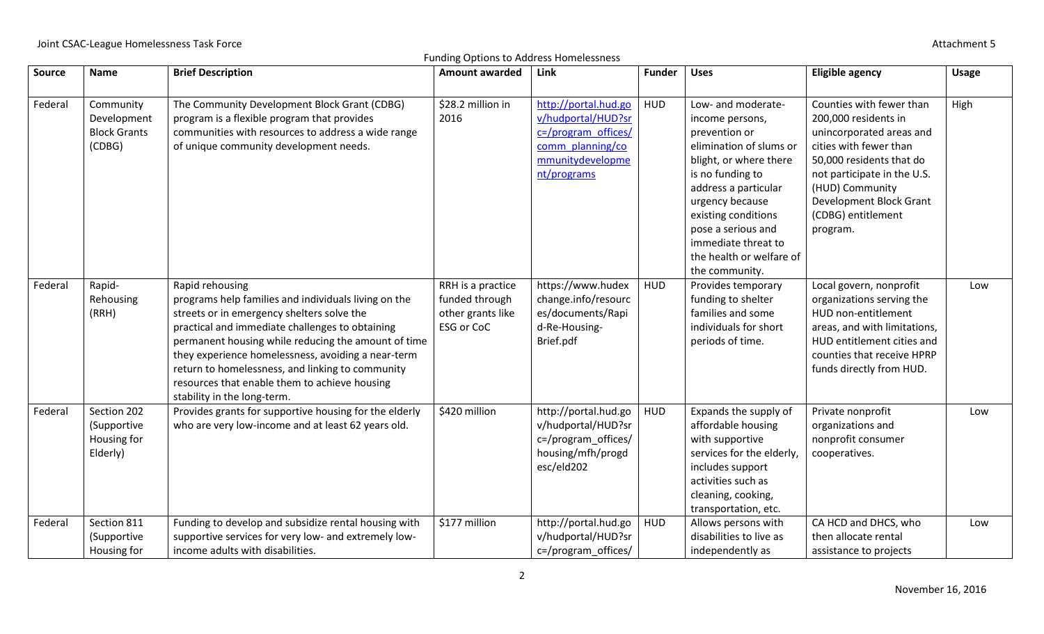| <b>Source</b> | Name                                                      | <b>Brief Description</b>                                                                                                                                                                                                                                                                                                                                                                                                  | r analig Options to Address Homelessiless<br><b>Amount awarded</b>     | Link                                                                                                                     | <b>Funder</b> | <b>Uses</b>                                                                                                                                                                                                                                                                                  | <b>Eligible agency</b>                                                                                                                                                                                                                            | <b>Usage</b> |
|---------------|-----------------------------------------------------------|---------------------------------------------------------------------------------------------------------------------------------------------------------------------------------------------------------------------------------------------------------------------------------------------------------------------------------------------------------------------------------------------------------------------------|------------------------------------------------------------------------|--------------------------------------------------------------------------------------------------------------------------|---------------|----------------------------------------------------------------------------------------------------------------------------------------------------------------------------------------------------------------------------------------------------------------------------------------------|---------------------------------------------------------------------------------------------------------------------------------------------------------------------------------------------------------------------------------------------------|--------------|
|               |                                                           |                                                                                                                                                                                                                                                                                                                                                                                                                           |                                                                        |                                                                                                                          |               |                                                                                                                                                                                                                                                                                              |                                                                                                                                                                                                                                                   |              |
| Federal       | Community<br>Development<br><b>Block Grants</b><br>(CDBG) | The Community Development Block Grant (CDBG)<br>program is a flexible program that provides<br>communities with resources to address a wide range<br>of unique community development needs.                                                                                                                                                                                                                               | \$28.2 million in<br>2016                                              | http://portal.hud.go<br>v/hudportal/HUD?sr<br>c=/program_offices/<br>comm planning/co<br>mmunitydevelopme<br>nt/programs | <b>HUD</b>    | Low- and moderate-<br>income persons,<br>prevention or<br>elimination of slums or<br>blight, or where there<br>is no funding to<br>address a particular<br>urgency because<br>existing conditions<br>pose a serious and<br>immediate threat to<br>the health or welfare of<br>the community. | Counties with fewer than<br>200,000 residents in<br>unincorporated areas and<br>cities with fewer than<br>50,000 residents that do<br>not participate in the U.S.<br>(HUD) Community<br>Development Block Grant<br>(CDBG) entitlement<br>program. | High         |
| Federal       | Rapid-<br>Rehousing<br>(RRH)                              | Rapid rehousing<br>programs help families and individuals living on the<br>streets or in emergency shelters solve the<br>practical and immediate challenges to obtaining<br>permanent housing while reducing the amount of time<br>they experience homelessness, avoiding a near-term<br>return to homelessness, and linking to community<br>resources that enable them to achieve housing<br>stability in the long-term. | RRH is a practice<br>funded through<br>other grants like<br>ESG or CoC | https://www.hudex<br>change.info/resourc<br>es/documents/Rapi<br>d-Re-Housing-<br>Brief.pdf                              | <b>HUD</b>    | Provides temporary<br>funding to shelter<br>families and some<br>individuals for short<br>periods of time.                                                                                                                                                                                   | Local govern, nonprofit<br>organizations serving the<br>HUD non-entitlement<br>areas, and with limitations,<br>HUD entitlement cities and<br>counties that receive HPRP<br>funds directly from HUD.                                               | Low          |
| Federal       | Section 202<br>(Supportive<br>Housing for<br>Elderly)     | Provides grants for supportive housing for the elderly<br>who are very low-income and at least 62 years old.                                                                                                                                                                                                                                                                                                              | \$420 million                                                          | http://portal.hud.go<br>v/hudportal/HUD?sr<br>c=/program_offices/<br>housing/mfh/progd<br>esc/eld202                     | <b>HUD</b>    | Expands the supply of<br>affordable housing<br>with supportive<br>services for the elderly,<br>includes support<br>activities such as<br>cleaning, cooking,<br>transportation, etc.                                                                                                          | Private nonprofit<br>organizations and<br>nonprofit consumer<br>cooperatives.                                                                                                                                                                     | Low          |
| Federal       | Section 811<br>(Supportive<br>Housing for                 | Funding to develop and subsidize rental housing with<br>supportive services for very low- and extremely low-<br>income adults with disabilities.                                                                                                                                                                                                                                                                          | \$177 million                                                          | http://portal.hud.go<br>v/hudportal/HUD?sr<br>c=/program offices/                                                        | <b>HUD</b>    | Allows persons with<br>disabilities to live as<br>independently as                                                                                                                                                                                                                           | CA HCD and DHCS, who<br>then allocate rental<br>assistance to projects                                                                                                                                                                            | Low          |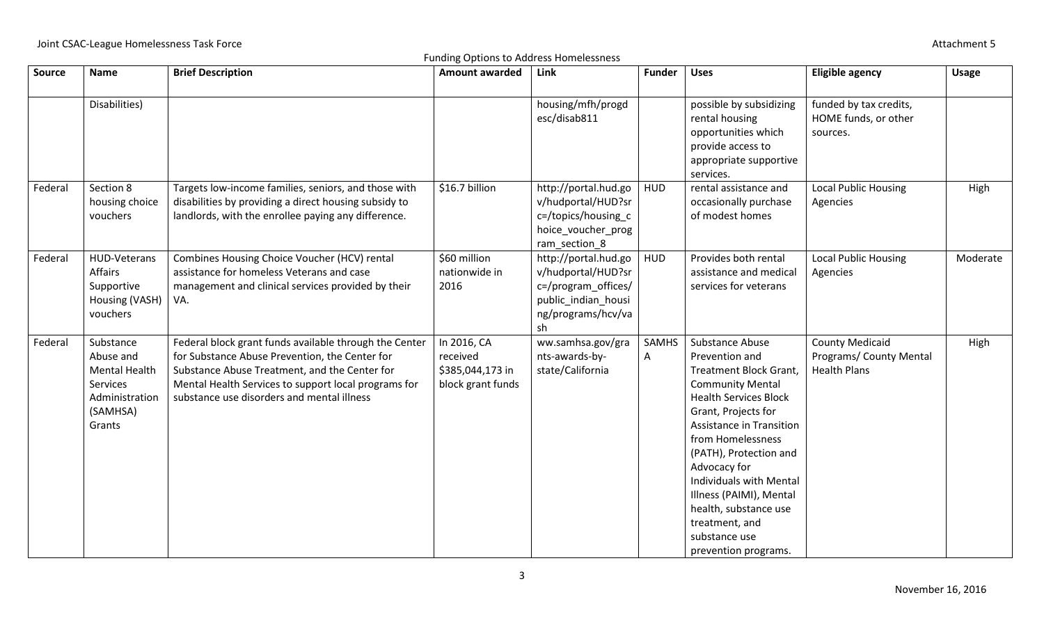| Source  | <b>Name</b>                                                                                 | <b>Brief Description</b>                                                                                                                                                                                                                                        | r anality options to haaress homelessifess<br><b>Amount awarded</b> | Link                                                                                                                 | <b>Funder</b> | <b>Uses</b>                                                                                                                                                                                                                                                                                                                                                                                      | <b>Eligible agency</b>                                                   | <b>Usage</b> |
|---------|---------------------------------------------------------------------------------------------|-----------------------------------------------------------------------------------------------------------------------------------------------------------------------------------------------------------------------------------------------------------------|---------------------------------------------------------------------|----------------------------------------------------------------------------------------------------------------------|---------------|--------------------------------------------------------------------------------------------------------------------------------------------------------------------------------------------------------------------------------------------------------------------------------------------------------------------------------------------------------------------------------------------------|--------------------------------------------------------------------------|--------------|
|         | Disabilities)                                                                               |                                                                                                                                                                                                                                                                 |                                                                     | housing/mfh/progd<br>esc/disab811                                                                                    |               | possible by subsidizing<br>rental housing<br>opportunities which<br>provide access to<br>appropriate supportive<br>services.                                                                                                                                                                                                                                                                     | funded by tax credits,<br>HOME funds, or other<br>sources.               |              |
| Federal | Section 8<br>housing choice<br>vouchers                                                     | Targets low-income families, seniors, and those with<br>disabilities by providing a direct housing subsidy to<br>landlords, with the enrollee paying any difference.                                                                                            | \$16.7 billion                                                      | http://portal.hud.go<br>v/hudportal/HUD?sr<br>c=/topics/housing_c<br>hoice_voucher_prog<br>ram section 8             | <b>HUD</b>    | rental assistance and<br>occasionally purchase<br>of modest homes                                                                                                                                                                                                                                                                                                                                | <b>Local Public Housing</b><br>Agencies                                  | High         |
| Federal | <b>HUD-Veterans</b><br>Affairs<br>Supportive<br>Housing (VASH)<br>vouchers                  | Combines Housing Choice Voucher (HCV) rental<br>assistance for homeless Veterans and case<br>management and clinical services provided by their<br>VA.                                                                                                          | \$60 million<br>nationwide in<br>2016                               | http://portal.hud.go<br>v/hudportal/HUD?sr<br>c=/program_offices/<br>public_indian_housi<br>ng/programs/hcv/va<br>sh | <b>HUD</b>    | Provides both rental<br>assistance and medical<br>services for veterans                                                                                                                                                                                                                                                                                                                          | <b>Local Public Housing</b><br>Agencies                                  | Moderate     |
| Federal | Substance<br>Abuse and<br>Mental Health<br>Services<br>Administration<br>(SAMHSA)<br>Grants | Federal block grant funds available through the Center<br>for Substance Abuse Prevention, the Center for<br>Substance Abuse Treatment, and the Center for<br>Mental Health Services to support local programs for<br>substance use disorders and mental illness | In 2016, CA<br>received<br>\$385,044,173 in<br>block grant funds    | ww.samhsa.gov/gra<br>nts-awards-by-<br>state/California                                                              | SAMHS<br>A    | Substance Abuse<br>Prevention and<br>Treatment Block Grant,<br><b>Community Mental</b><br><b>Health Services Block</b><br>Grant, Projects for<br><b>Assistance in Transition</b><br>from Homelessness<br>(PATH), Protection and<br>Advocacy for<br><b>Individuals with Mental</b><br>Illness (PAIMI), Mental<br>health, substance use<br>treatment, and<br>substance use<br>prevention programs. | <b>County Medicaid</b><br>Programs/ County Mental<br><b>Health Plans</b> | High         |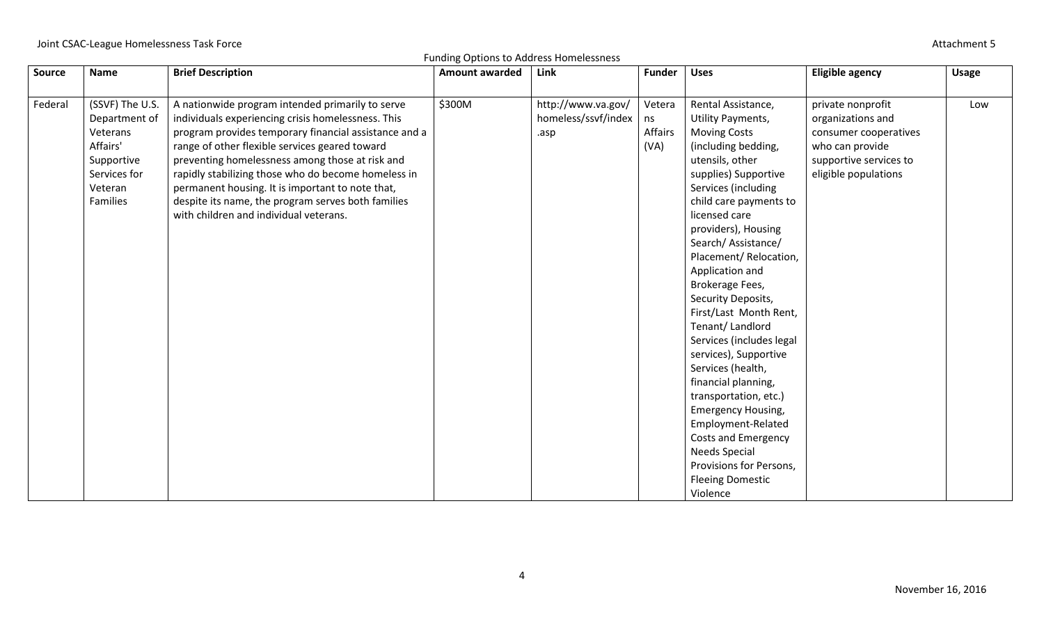## Joint CSAC-League Homelessness Task Force **Attachment 5** Attachment 5

Funding Options to Address Homelessness

| \$300M<br>(SSVF) The U.S.<br>A nationwide program intended primarily to serve<br>http://www.va.gov/<br>Federal<br>Rental Assistance,<br>private nonprofit<br>Vetera<br>individuals experiencing crisis homelessness. This<br>homeless/ssvf/index<br>organizations and<br>Department of<br>ns<br>Utility Payments,<br>Affairs<br>program provides temporary financial assistance and a<br><b>Moving Costs</b><br>Veterans<br>consumer cooperatives<br>.asp<br>Affairs'<br>(VA)<br>range of other flexible services geared toward<br>(including bedding,<br>who can provide<br>preventing homelessness among those at risk and<br>utensils, other<br>supportive services to<br>Supportive<br>Services for<br>rapidly stabilizing those who do become homeless in<br>supplies) Supportive<br>eligible populations<br>permanent housing. It is important to note that,<br>Services (including<br>Veteran<br><b>Families</b><br>despite its name, the program serves both families<br>child care payments to | <b>Amount awarded</b><br>Link<br><b>Uses</b><br><b>Eligible agency</b><br><b>Funder</b> |  | <b>Brief Description</b> | <b>Name</b> | <b>Source</b> |
|---------------------------------------------------------------------------------------------------------------------------------------------------------------------------------------------------------------------------------------------------------------------------------------------------------------------------------------------------------------------------------------------------------------------------------------------------------------------------------------------------------------------------------------------------------------------------------------------------------------------------------------------------------------------------------------------------------------------------------------------------------------------------------------------------------------------------------------------------------------------------------------------------------------------------------------------------------------------------------------------------------|-----------------------------------------------------------------------------------------|--|--------------------------|-------------|---------------|
|                                                                                                                                                                                                                                                                                                                                                                                                                                                                                                                                                                                                                                                                                                                                                                                                                                                                                                                                                                                                         |                                                                                         |  |                          |             |               |
| licensed care<br>with children and individual veterans.<br>providers), Housing<br>Search/Assistance/<br>Placement/Relocation,<br>Application and<br>Brokerage Fees,<br>Security Deposits,<br>First/Last Month Rent,<br>Tenant/Landlord<br>Services (includes legal<br>services), Supportive<br>Services (health,<br>financial planning,<br>transportation, etc.)<br>Emergency Housing,<br>Employment-Related<br><b>Costs and Emergency</b><br><b>Needs Special</b><br>Provisions for Persons,                                                                                                                                                                                                                                                                                                                                                                                                                                                                                                           |                                                                                         |  |                          |             |               |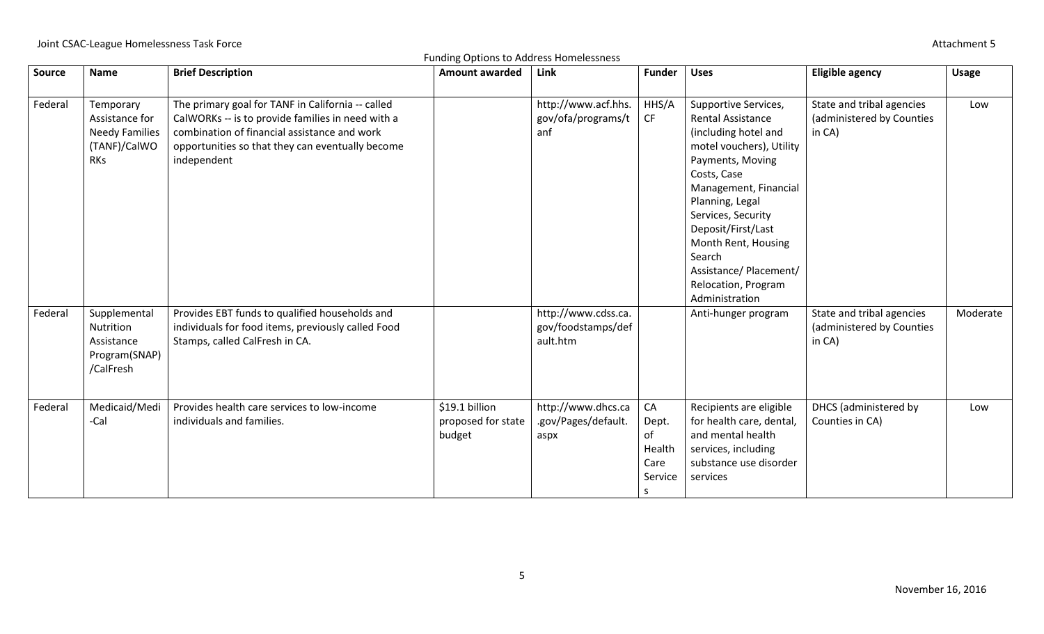| Source  | Name                                                                        | <b>Brief Description</b>                                                                                                                                                                                                  | <b>Amount awarded</b>                          | <b>Link</b>                                           | <b>Funder</b>                                               | <b>Uses</b>                                                                                                                                                                                                                                                                                                                         | <b>Eligible agency</b>                                           | <b>Usage</b> |
|---------|-----------------------------------------------------------------------------|---------------------------------------------------------------------------------------------------------------------------------------------------------------------------------------------------------------------------|------------------------------------------------|-------------------------------------------------------|-------------------------------------------------------------|-------------------------------------------------------------------------------------------------------------------------------------------------------------------------------------------------------------------------------------------------------------------------------------------------------------------------------------|------------------------------------------------------------------|--------------|
| Federal | Temporary<br>Assistance for<br><b>Needy Families</b><br>(TANF)/CalWO<br>RKs | The primary goal for TANF in California -- called<br>CalWORKs -- is to provide families in need with a<br>combination of financial assistance and work<br>opportunities so that they can eventually become<br>independent |                                                | http://www.acf.hhs.<br>gov/ofa/programs/t<br>anf      | HHS/A<br>CF                                                 | Supportive Services,<br><b>Rental Assistance</b><br>(including hotel and<br>motel vouchers), Utility<br>Payments, Moving<br>Costs, Case<br>Management, Financial<br>Planning, Legal<br>Services, Security<br>Deposit/First/Last<br>Month Rent, Housing<br>Search<br>Assistance/ Placement/<br>Relocation, Program<br>Administration | State and tribal agencies<br>(administered by Counties<br>in CA) | Low          |
| Federal | Supplemental<br>Nutrition<br>Assistance<br>Program(SNAP)<br>/CalFresh       | Provides EBT funds to qualified households and<br>individuals for food items, previously called Food<br>Stamps, called CalFresh in CA.                                                                                    |                                                | http://www.cdss.ca.<br>gov/foodstamps/def<br>ault.htm |                                                             | Anti-hunger program                                                                                                                                                                                                                                                                                                                 | State and tribal agencies<br>(administered by Counties<br>in CA) | Moderate     |
| Federal | Medicaid/Medi<br>-Cal                                                       | Provides health care services to low-income<br>individuals and families.                                                                                                                                                  | \$19.1 billion<br>proposed for state<br>budget | http://www.dhcs.ca<br>.gov/Pages/default.<br>aspx     | ${\sf CA}$<br>Dept.<br>of<br>Health<br>Care<br>Service<br>S | Recipients are eligible<br>for health care, dental,<br>and mental health<br>services, including<br>substance use disorder<br>services                                                                                                                                                                                               | DHCS (administered by<br>Counties in CA)                         | Low          |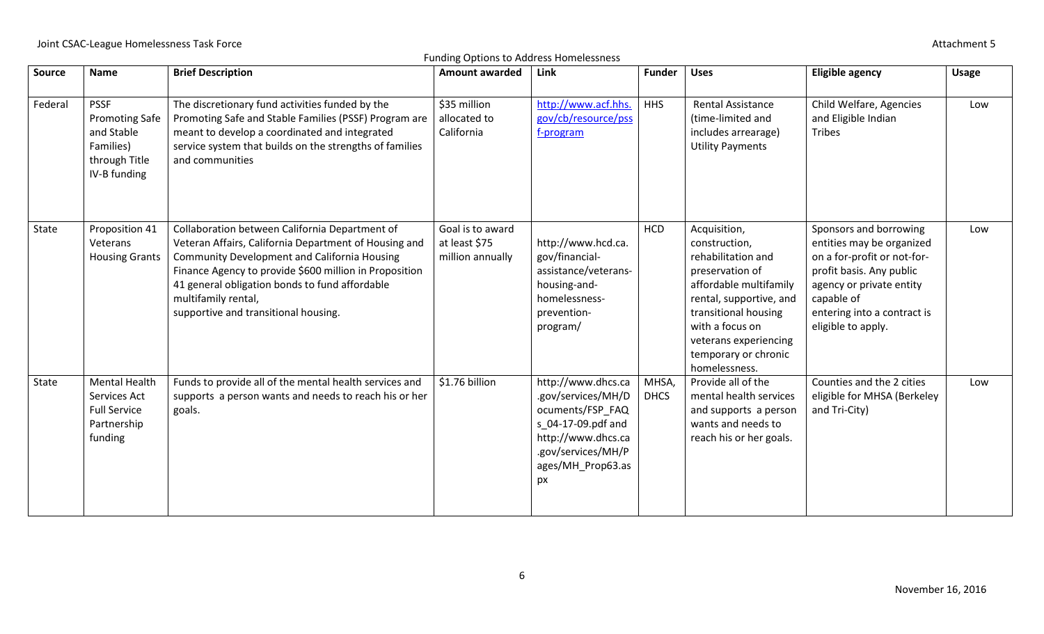| Source  | Name                                                                                             | <b>Brief Description</b>                                                                                                                                                                                                                                                                                                                  | i dridnig Options to Additess Homelessiitess<br><b>Amount awarded</b> | Link                                                                                                                                                      | <b>Funder</b>        | <b>Uses</b>                                                                                                                                                                                                                              | <b>Eligible agency</b>                                                                                                                                                                                        | <b>Usage</b> |
|---------|--------------------------------------------------------------------------------------------------|-------------------------------------------------------------------------------------------------------------------------------------------------------------------------------------------------------------------------------------------------------------------------------------------------------------------------------------------|-----------------------------------------------------------------------|-----------------------------------------------------------------------------------------------------------------------------------------------------------|----------------------|------------------------------------------------------------------------------------------------------------------------------------------------------------------------------------------------------------------------------------------|---------------------------------------------------------------------------------------------------------------------------------------------------------------------------------------------------------------|--------------|
| Federal | <b>PSSF</b><br><b>Promoting Safe</b><br>and Stable<br>Families)<br>through Title<br>IV-B funding | The discretionary fund activities funded by the<br>Promoting Safe and Stable Families (PSSF) Program are<br>meant to develop a coordinated and integrated<br>service system that builds on the strengths of families<br>and communities                                                                                                   | \$35 million<br>allocated to<br>California                            | http://www.acf.hhs.<br>gov/cb/resource/pss<br>f-program                                                                                                   | <b>HHS</b>           | <b>Rental Assistance</b><br>(time-limited and<br>includes arrearage)<br><b>Utility Payments</b>                                                                                                                                          | Child Welfare, Agencies<br>and Eligible Indian<br><b>Tribes</b>                                                                                                                                               | Low          |
| State   | Proposition 41<br>Veterans<br><b>Housing Grants</b>                                              | Collaboration between California Department of<br>Veteran Affairs, California Department of Housing and<br><b>Community Development and California Housing</b><br>Finance Agency to provide \$600 million in Proposition<br>41 general obligation bonds to fund affordable<br>multifamily rental,<br>supportive and transitional housing. | Goal is to award<br>at least \$75<br>million annually                 | http://www.hcd.ca.<br>gov/financial-<br>assistance/veterans-<br>housing-and-<br>homelessness-<br>prevention-<br>program/                                  | <b>HCD</b>           | Acquisition,<br>construction,<br>rehabilitation and<br>preservation of<br>affordable multifamily<br>rental, supportive, and<br>transitional housing<br>with a focus on<br>veterans experiencing<br>temporary or chronic<br>homelessness. | Sponsors and borrowing<br>entities may be organized<br>on a for-profit or not-for-<br>profit basis. Any public<br>agency or private entity<br>capable of<br>entering into a contract is<br>eligible to apply. | Low          |
| State   | <b>Mental Health</b><br>Services Act<br><b>Full Service</b><br>Partnership<br>funding            | Funds to provide all of the mental health services and<br>supports a person wants and needs to reach his or her<br>goals.                                                                                                                                                                                                                 | \$1.76 billion                                                        | http://www.dhcs.ca<br>.gov/services/MH/D<br>ocuments/FSP_FAQ<br>s 04-17-09.pdf and<br>http://www.dhcs.ca<br>.gov/services/MH/P<br>ages/MH Prop63.as<br>px | MHSA,<br><b>DHCS</b> | Provide all of the<br>mental health services<br>and supports a person<br>wants and needs to<br>reach his or her goals.                                                                                                                   | Counties and the 2 cities<br>eligible for MHSA (Berkeley<br>and Tri-City)                                                                                                                                     | Low          |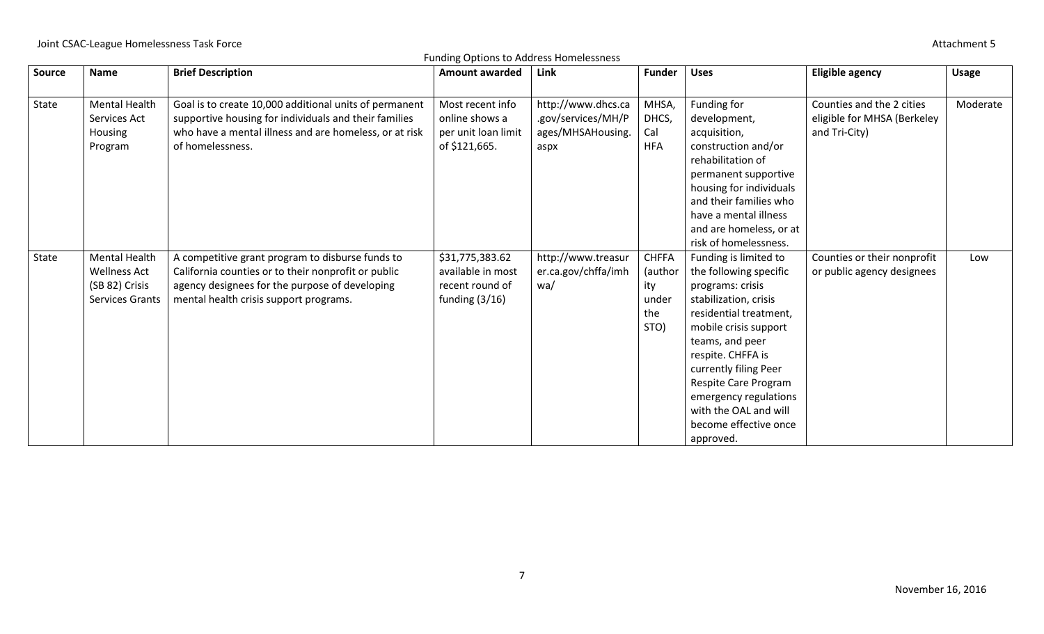## Joint CSAC-League Homelessness Task Force **Attachment 5** Attachment 5

| Source | <b>Name</b>            | <b>Brief Description</b>                               | <b>Amount awarded</b> | Link                | <b>Funder</b> | <b>Uses</b>             | <b>Eligible agency</b>      | <b>Usage</b> |
|--------|------------------------|--------------------------------------------------------|-----------------------|---------------------|---------------|-------------------------|-----------------------------|--------------|
|        |                        |                                                        |                       |                     |               |                         |                             |              |
| State  | <b>Mental Health</b>   | Goal is to create 10,000 additional units of permanent | Most recent info      | http://www.dhcs.ca  | MHSA,         | Funding for             | Counties and the 2 cities   | Moderate     |
|        | Services Act           | supportive housing for individuals and their families  | online shows a        | .gov/services/MH/P  | DHCS,         | development,            | eligible for MHSA (Berkeley |              |
|        | Housing                | who have a mental illness and are homeless, or at risk | per unit loan limit   | ages/MHSAHousing.   | Cal           | acquisition,            | and Tri-City)               |              |
|        | Program                | of homelessness.                                       | of \$121,665.         | aspx                | <b>HFA</b>    | construction and/or     |                             |              |
|        |                        |                                                        |                       |                     |               | rehabilitation of       |                             |              |
|        |                        |                                                        |                       |                     |               | permanent supportive    |                             |              |
|        |                        |                                                        |                       |                     |               | housing for individuals |                             |              |
|        |                        |                                                        |                       |                     |               | and their families who  |                             |              |
|        |                        |                                                        |                       |                     |               | have a mental illness   |                             |              |
|        |                        |                                                        |                       |                     |               | and are homeless, or at |                             |              |
|        |                        |                                                        |                       |                     |               | risk of homelessness.   |                             |              |
| State  | <b>Mental Health</b>   | A competitive grant program to disburse funds to       | \$31,775,383.62       | http://www.treasur  | <b>CHFFA</b>  | Funding is limited to   | Counties or their nonprofit | Low          |
|        | <b>Wellness Act</b>    | California counties or to their nonprofit or public    | available in most     | er.ca.gov/chffa/imh | (author       | the following specific  | or public agency designees  |              |
|        | (SB 82) Crisis         | agency designees for the purpose of developing         | recent round of       | wa/                 | ity           | programs: crisis        |                             |              |
|        | <b>Services Grants</b> | mental health crisis support programs.                 | funding $(3/16)$      |                     | under         | stabilization, crisis   |                             |              |
|        |                        |                                                        |                       |                     | the           | residential treatment,  |                             |              |
|        |                        |                                                        |                       |                     | STO)          | mobile crisis support   |                             |              |
|        |                        |                                                        |                       |                     |               | teams, and peer         |                             |              |
|        |                        |                                                        |                       |                     |               | respite. CHFFA is       |                             |              |
|        |                        |                                                        |                       |                     |               | currently filing Peer   |                             |              |
|        |                        |                                                        |                       |                     |               | Respite Care Program    |                             |              |
|        |                        |                                                        |                       |                     |               | emergency regulations   |                             |              |
|        |                        |                                                        |                       |                     |               | with the OAL and will   |                             |              |
|        |                        |                                                        |                       |                     |               | become effective once   |                             |              |
|        |                        |                                                        |                       |                     |               | approved.               |                             |              |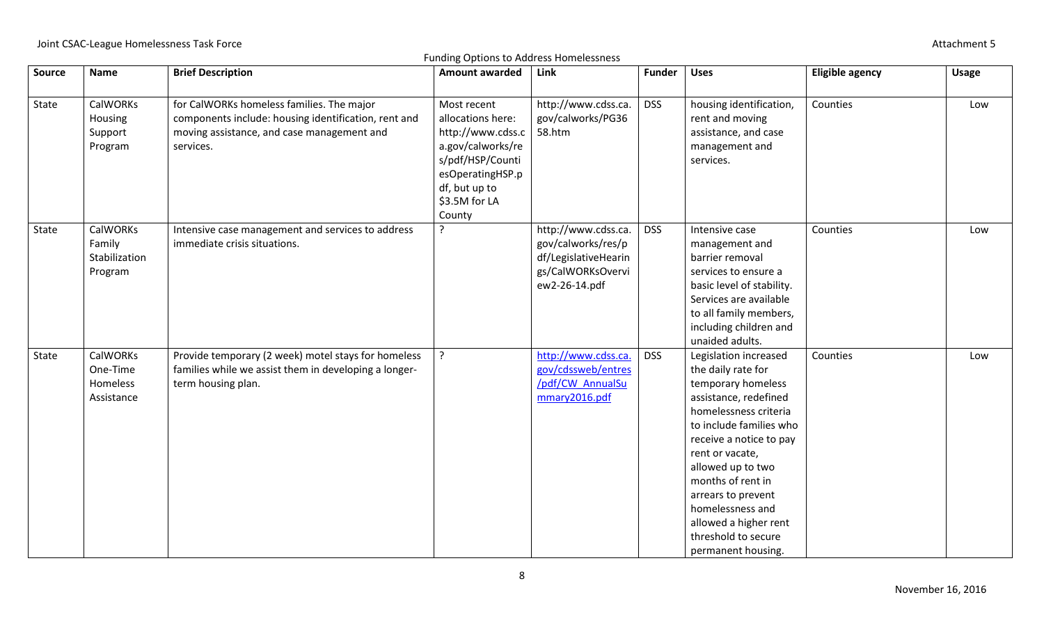|  |  |  | <b>Funding Options to Address Homelessness</b> |  |  |
|--|--|--|------------------------------------------------|--|--|
|--|--|--|------------------------------------------------|--|--|

| Source | <b>Name</b>                                           | <b>Brief Description</b>                                                                                                                                     | <b>Amount awarded</b>                                                                                                                                          | Link                                                                                                    | <b>Funder</b> | <b>Uses</b>                                                                                                                                                                                                                                                                                                                                            | <b>Eligible agency</b> | <b>Usage</b> |
|--------|-------------------------------------------------------|--------------------------------------------------------------------------------------------------------------------------------------------------------------|----------------------------------------------------------------------------------------------------------------------------------------------------------------|---------------------------------------------------------------------------------------------------------|---------------|--------------------------------------------------------------------------------------------------------------------------------------------------------------------------------------------------------------------------------------------------------------------------------------------------------------------------------------------------------|------------------------|--------------|
| State  | <b>CalWORKs</b><br>Housing<br>Support<br>Program      | for CalWORKs homeless families. The major<br>components include: housing identification, rent and<br>moving assistance, and case management and<br>services. | Most recent<br>allocations here:<br>http://www.cdss.c<br>a.gov/calworks/re<br>s/pdf/HSP/Counti<br>esOperatingHSP.p<br>df, but up to<br>\$3.5M for LA<br>County | http://www.cdss.ca.<br>gov/calworks/PG36<br>58.htm                                                      | <b>DSS</b>    | housing identification,<br>rent and moving<br>assistance, and case<br>management and<br>services.                                                                                                                                                                                                                                                      | Counties               | Low          |
| State  | <b>CalWORKs</b><br>Family<br>Stabilization<br>Program | Intensive case management and services to address<br>immediate crisis situations.                                                                            | $\cdot$                                                                                                                                                        | http://www.cdss.ca.<br>gov/calworks/res/p<br>df/LegislativeHearin<br>gs/CalWORKsOvervi<br>ew2-26-14.pdf | <b>DSS</b>    | Intensive case<br>management and<br>barrier removal<br>services to ensure a<br>basic level of stability.<br>Services are available<br>to all family members,<br>including children and<br>unaided adults.                                                                                                                                              | Counties               | Low          |
| State  | <b>CalWORKs</b><br>One-Time<br>Homeless<br>Assistance | Provide temporary (2 week) motel stays for homeless<br>families while we assist them in developing a longer-<br>term housing plan.                           | $\tilde{f}$                                                                                                                                                    | http://www.cdss.ca.<br>gov/cdssweb/entres<br>/pdf/CW AnnualSu<br>mmary2016.pdf                          | <b>DSS</b>    | Legislation increased<br>the daily rate for<br>temporary homeless<br>assistance, redefined<br>homelessness criteria<br>to include families who<br>receive a notice to pay<br>rent or vacate,<br>allowed up to two<br>months of rent in<br>arrears to prevent<br>homelessness and<br>allowed a higher rent<br>threshold to secure<br>permanent housing. | Counties               | Low          |